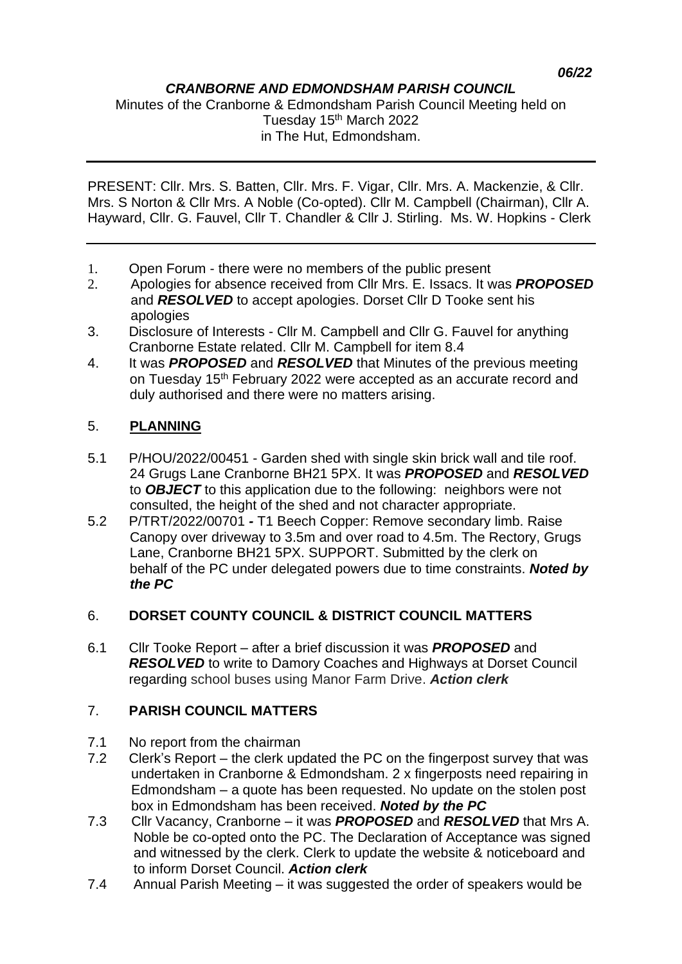### *CRANBORNE AND EDMONDSHAM PARISH COUNCIL*

Minutes of the Cranborne & Edmondsham Parish Council Meeting held on Tuesday 15<sup>th</sup> March 2022 in The Hut, Edmondsham.

PRESENT: Cllr. Mrs. S. Batten, Cllr. Mrs. F. Vigar, Cllr. Mrs. A. Mackenzie, & Cllr. Mrs. S Norton & Cllr Mrs. A Noble (Co-opted). Cllr M. Campbell (Chairman), Cllr A. Hayward, Cllr. G. Fauvel, Cllr T. Chandler & Cllr J. Stirling. Ms. W. Hopkins - Clerk

- 1. Open Forum there were no members of the public present
- 2. Apologies for absence received from Cllr Mrs. E. Issacs. It was *PROPOSED* and *RESOLVED* to accept apologies. Dorset Cllr D Tooke sent his apologies
- 3. Disclosure of Interests Cllr M. Campbell and Cllr G. Fauvel for anything Cranborne Estate related. Cllr M. Campbell for item 8.4
- 4. It was *PROPOSED* and *RESOLVED* that Minutes of the previous meeting on Tuesday 15<sup>th</sup> February 2022 were accepted as an accurate record and duly authorised and there were no matters arising.

## 5. **PLANNING**

- 5.1 P/HOU/2022/00451 Garden shed with single skin brick wall and tile roof. 24 Grugs Lane Cranborne BH21 5PX. It was *PROPOSED* and *RESOLVED* to *OBJECT* to this application due to the following: neighbors were not consulted, the height of the shed and not character appropriate.
- 5.2 P/TRT/2022/00701 *-* T1 Beech Copper: Remove secondary limb. Raise Canopy over driveway to 3.5m and over road to 4.5m. The Rectory, Grugs Lane, Cranborne BH21 5PX. SUPPORT. Submitted by the clerk on behalf of the PC under delegated powers due to time constraints. *Noted by the PC*

## 6. **DORSET COUNTY COUNCIL & DISTRICT COUNCIL MATTERS**

6.1 Cllr Tooke Report – after a brief discussion it was *PROPOSED* and *RESOLVED* to write to Damory Coaches and Highways at Dorset Council regarding school buses using Manor Farm Drive. *Action clerk*

## 7. **PARISH COUNCIL MATTERS**

- 7.1 No report from the chairman
- 7.2 Clerk's Report the clerk updated the PC on the fingerpost survey that was undertaken in Cranborne & Edmondsham. 2 x fingerposts need repairing in Edmondsham – a quote has been requested. No update on the stolen post box in Edmondsham has been received. *Noted by the PC*
- 7.3 Cllr Vacancy, Cranborne it was *PROPOSED* and *RESOLVED* that Mrs A. Noble be co-opted onto the PC. The Declaration of Acceptance was signed and witnessed by the clerk. Clerk to update the website & noticeboard and to inform Dorset Council. *Action clerk*
- 7.4 Annual Parish Meeting it was suggested the order of speakers would be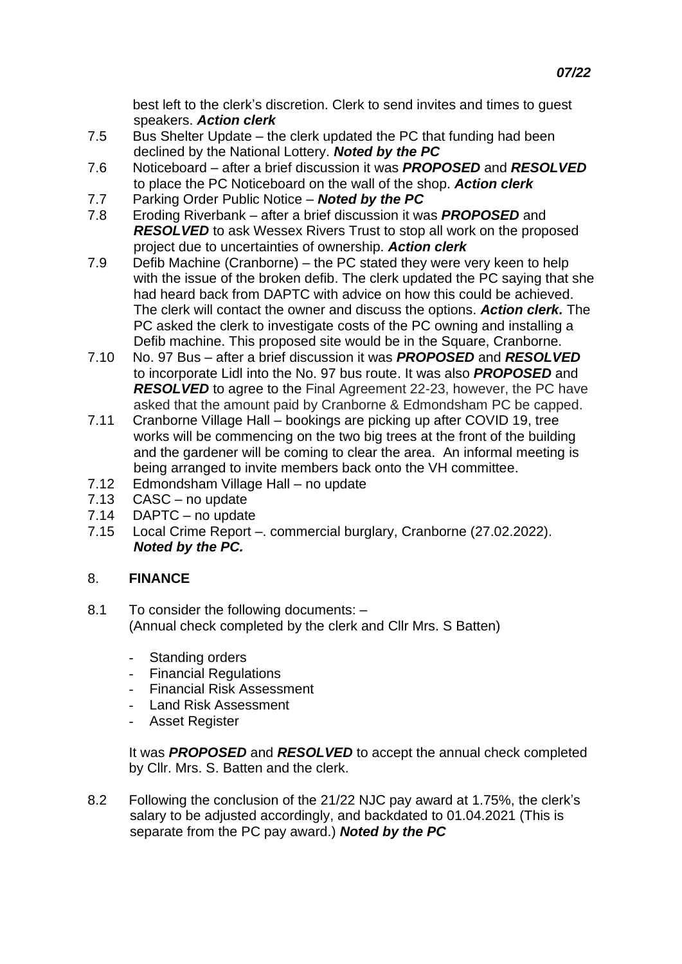- 7.5 Bus Shelter Update the clerk updated the PC that funding had been declined by the National Lottery. *Noted by the PC*
- 7.6 Noticeboard after a brief discussion it was *PROPOSED* and *RESOLVED* to place the PC Noticeboard on the wall of the shop. *Action clerk*
- 7.7 Parking Order Public Notice *Noted by the PC*
- 7.8 Eroding Riverbank after a brief discussion it was *PROPOSED* and *RESOLVED* to ask Wessex Rivers Trust to stop all work on the proposed project due to uncertainties of ownership. *Action clerk*<br>7.9 Defib Machine (Cranborne) – the PC stated they were v
- Defib Machine (Cranborne) the PC stated they were very keen to help with the issue of the broken defib. The clerk updated the PC saying that she had heard back from DAPTC with advice on how this could be achieved. The clerk will contact the owner and discuss the options. *Action clerk.* The PC asked the clerk to investigate costs of the PC owning and installing a Defib machine. This proposed site would be in the Square, Cranborne.
- 7.10 No. 97 Bus after a brief discussion it was *PROPOSED* and *RESOLVED* to incorporate Lidl into the No. 97 bus route. It was also *PROPOSED* and **RESOLVED** to agree to the Final Agreement 22-23, however, the PC have asked that the amount paid by Cranborne & Edmondsham PC be capped.
- 7.11 Cranborne Village Hall bookings are picking up after COVID 19, tree works will be commencing on the two big trees at the front of the building and the gardener will be coming to clear the area. An informal meeting is being arranged to invite members back onto the VH committee.
- 7.12 Edmondsham Village Hall no update
- 7.13 CASC no update
- 7.14 DAPTC no update
- 7.15 Local Crime Report –. commercial burglary, Cranborne (27.02.2022). *Noted by the PC.*

# 8. **FINANCE**

- 8.1 To consider the following documents: (Annual check completed by the clerk and Cllr Mrs. S Batten)
	- Standing orders
	- Financial Regulations
	- Financial Risk Assessment
	- Land Risk Assessment
	- Asset Register

It was *PROPOSED* and *RESOLVED* to accept the annual check completed by Cllr. Mrs. S. Batten and the clerk.

8.2 Following the conclusion of the 21/22 NJC pay award at 1.75%, the clerk's salary to be adjusted accordingly, and backdated to 01.04.2021 (This is separate from the PC pay award.) *Noted by the PC*